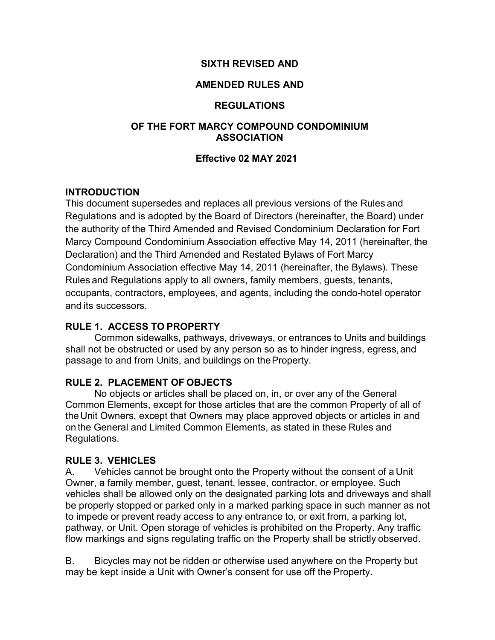### **SIXTH REVISED AND**

### **AMENDED RULES AND**

#### **REGULATIONS**

#### **OF THE FORT MARCY COMPOUND CONDOMINIUM ASSOCIATION**

#### **Effective 02 MAY 2021**

### **INTRODUCTION**

This document supersedes and replaces all previous versions of the Rules and Regulations and is adopted by the Board of Directors (hereinafter, the Board) under the authority of the Third Amended and Revised Condominium Declaration for Fort Marcy Compound Condominium Association effective May 14, 2011 (hereinafter, the Declaration) and the Third Amended and Restated Bylaws of Fort Marcy Condominium Association effective May 14, 2011 (hereinafter, the Bylaws). These Rules and Regulations apply to all owners, family members, guests, tenants, occupants, contractors, employees, and agents, including the condo-hotel operator and its successors.

## **RULE 1. ACCESS TO PROPERTY**

Common sidewalks, pathways, driveways, or entrances to Units and buildings shall not be obstructed or used by any person so as to hinder ingress, egress,and passage to and from Units, and buildings on theProperty.

## **RULE 2. PLACEMENT OF OBJECTS**

No objects or articles shall be placed on, in, or over any of the General Common Elements, except for those articles that are the common Property of all of the Unit Owners, except that Owners may place approved objects or articles in and on the General and Limited Common Elements, as stated in these Rules and Regulations.

#### **RULE 3. VEHICLES**

A. Vehicles cannot be brought onto the Property without the consent of a Unit Owner, a family member, guest, tenant, lessee, contractor, or employee. Such vehicles shall be allowed only on the designated parking lots and driveways and shall be properly stopped or parked only in a marked parking space in such manner as not to impede or prevent ready access to any entrance to, or exit from, a parking lot, pathway, or Unit. Open storage of vehicles is prohibited on the Property. Any traffic flow markings and signs regulating traffic on the Property shall be strictly observed.

B. Bicycles may not be ridden or otherwise used anywhere on the Property but may be kept inside a Unit with Owner's consent for use off the Property.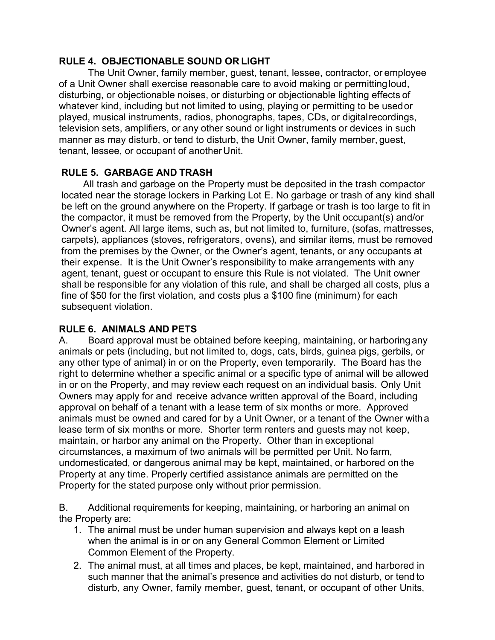## **RULE 4. OBJECTIONABLE SOUND OR LIGHT**

The Unit Owner, family member, guest, tenant, lessee, contractor, or employee of a Unit Owner shall exercise reasonable care to avoid making or permittingloud, disturbing, or objectionable noises, or disturbing or objectionable lighting effects of whatever kind, including but not limited to using, playing or permitting to be usedor played, musical instruments, radios, phonographs, tapes, CDs, or digitalrecordings, television sets, amplifiers, or any other sound or light instruments or devices in such manner as may disturb, or tend to disturb, the Unit Owner, family member, guest, tenant, lessee, or occupant of anotherUnit.

## **RULE 5. GARBAGE AND TRASH**

All trash and garbage on the Property must be deposited in the trash compactor located near the storage lockers in Parking Lot E. No garbage or trash of any kind shall be left on the ground anywhere on the Property. If garbage or trash is too large to fit in the compactor, it must be removed from the Property, by the Unit occupant(s) and/or Owner's agent. All large items, such as, but not limited to, furniture, (sofas, mattresses, carpets), appliances (stoves, refrigerators, ovens), and similar items, must be removed from the premises by the Owner, or the Owner's agent, tenants, or any occupants at their expense. It is the Unit Owner's responsibility to make arrangements with any agent, tenant, guest or occupant to ensure this Rule is not violated. The Unit owner shall be responsible for any violation of this rule, and shall be charged all costs, plus a fine of \$50 for the first violation, and costs plus a \$100 fine (minimum) for each subsequent violation.

## **RULE 6. ANIMALS AND PETS**

A. Board approval must be obtained before keeping, maintaining, or harboring any animals or pets (including, but not limited to, dogs, cats, birds, guinea pigs, gerbils, or any other type of animal) in or on the Property, even temporarily. The Board has the right to determine whether a specific animal or a specific type of animal will be allowed in or on the Property, and may review each request on an individual basis. Only Unit Owners may apply for and receive advance written approval of the Board, including approval on behalf of a tenant with a lease term of six months or more. Approved animals must be owned and cared for by a Unit Owner, or a tenant of the Owner witha lease term of six months or more. Shorter term renters and guests may not keep, maintain, or harbor any animal on the Property. Other than in exceptional circumstances, a maximum of two animals will be permitted per Unit. No farm, undomesticated, or dangerous animal may be kept, maintained, or harbored on the Property at any time. Properly certified assistance animals are permitted on the Property for the stated purpose only without prior permission.

B. Additional requirements for keeping, maintaining, or harboring an animal on the Property are:

- 1. The animal must be under human supervision and always kept on a leash when the animal is in or on any General Common Element or Limited Common Element of the Property.
- 2. The animal must, at all times and places, be kept, maintained, and harbored in such manner that the animal's presence and activities do not disturb, or tend to disturb, any Owner, family member, guest, tenant, or occupant of other Units,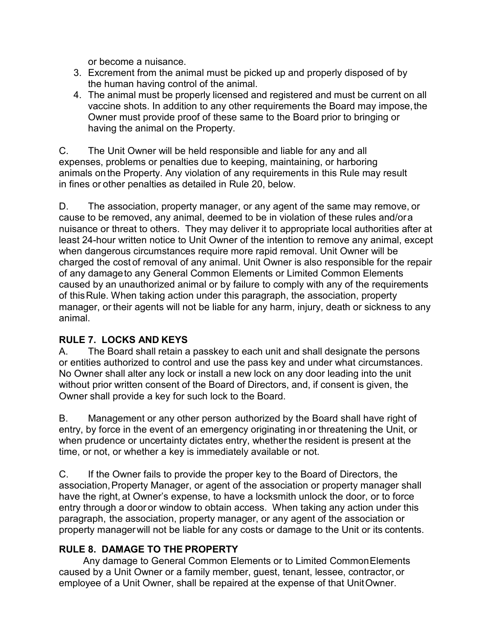or become a nuisance.

- 3. Excrement from the animal must be picked up and properly disposed of by the human having control of the animal.
- 4. The animal must be properly licensed and registered and must be current on all vaccine shots. In addition to any other requirements the Board may impose,the Owner must provide proof of these same to the Board prior to bringing or having the animal on the Property.

C. The Unit Owner will be held responsible and liable for any and all expenses, problems or penalties due to keeping, maintaining, or harboring animals onthe Property. Any violation of any requirements in this Rule may result in fines or other penalties as detailed in Rule 20, below.

D. The association, property manager, or any agent of the same may remove, or cause to be removed, any animal, deemed to be in violation of these rules and/ora nuisance or threat to others. They may deliver it to appropriate local authorities after at least 24-hour written notice to Unit Owner of the intention to remove any animal, except when dangerous circumstances require more rapid removal. Unit Owner will be charged the cost of removal of any animal. Unit Owner is also responsible for the repair of any damageto any General Common Elements or Limited Common Elements caused by an unauthorized animal or by failure to comply with any of the requirements of thisRule. When taking action under this paragraph, the association, property manager, or their agents will not be liable for any harm, injury, death or sickness to any animal.

## **RULE 7. LOCKS AND KEYS**

A. The Board shall retain a passkey to each unit and shall designate the persons or entities authorized to control and use the pass key and under what circumstances. No Owner shall alter any lock or install a new lock on any door leading into the unit without prior written consent of the Board of Directors, and, if consent is given, the Owner shall provide a key for such lock to the Board.

B. Management or any other person authorized by the Board shall have right of entry, by force in the event of an emergency originating inor threatening the Unit, or when prudence or uncertainty dictates entry, whether the resident is present at the time, or not, or whether a key is immediately available or not.

C. If the Owner fails to provide the proper key to the Board of Directors, the association,Property Manager, or agent of the association or property manager shall have the right, at Owner's expense, to have a locksmith unlock the door, or to force entry through a door or window to obtain access. When taking any action under this paragraph, the association, property manager, or any agent of the association or property managerwill not be liable for any costs or damage to the Unit or its contents.

## **RULE 8. DAMAGE TO THE PROPERTY**

Any damage to General Common Elements or to Limited CommonElements caused by a Unit Owner or a family member, guest, tenant, lessee, contractor, or employee of a Unit Owner, shall be repaired at the expense of that UnitOwner.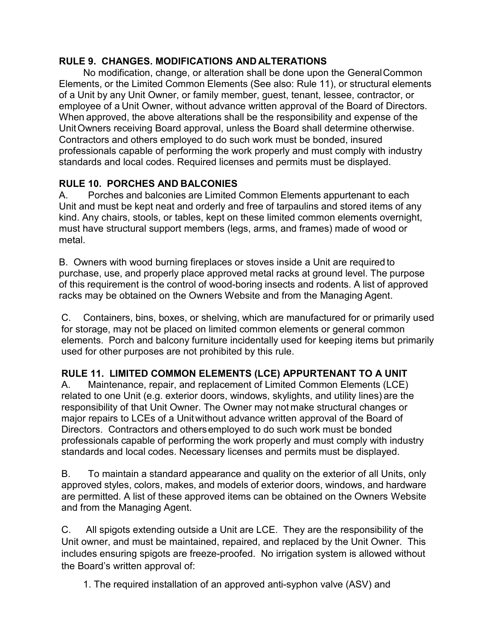## **RULE 9. CHANGES. MODIFICATIONS AND ALTERATIONS**

No modification, change, or alteration shall be done upon the GeneralCommon Elements, or the Limited Common Elements (See also: Rule 11), or structural elements of a Unit by any Unit Owner, or family member, guest, tenant, lessee, contractor, or employee of a Unit Owner, without advance written approval of the Board of Directors. When approved, the above alterations shall be the responsibility and expense of the UnitOwners receiving Board approval, unless the Board shall determine otherwise. Contractors and others employed to do such work must be bonded, insured professionals capable of performing the work properly and must comply with industry standards and local codes. Required licenses and permits must be displayed.

# **RULE 10. PORCHES AND BALCONIES**

A. Porches and balconies are Limited Common Elements appurtenant to each Unit and must be kept neat and orderly and free of tarpaulins and stored items of any kind. Any chairs, stools, or tables, kept on these limited common elements overnight, must have structural support members (legs, arms, and frames) made of wood or metal.

B. Owners with wood burning fireplaces or stoves inside a Unit are required to purchase, use, and properly place approved metal racks at ground level. The purpose of this requirement is the control of wood-boring insects and rodents. A list of approved racks may be obtained on the Owners Website and from the Managing Agent.

C. Containers, bins, boxes, or shelving, which are manufactured for or primarily used for storage, may not be placed on limited common elements or general common elements. Porch and balcony furniture incidentally used for keeping items but primarily used for other purposes are not prohibited by this rule.

# **RULE 11. LIMITED COMMON ELEMENTS (LCE) APPURTENANT TO A UNIT**

A. Maintenance, repair, and replacement of Limited Common Elements (LCE) related to one Unit (e.g. exterior doors, windows, skylights, and utility lines) are the responsibility of that Unit Owner. The Owner may not make structural changes or major repairs to LCEs of a Unitwithout advance written approval of the Board of Directors. Contractors and othersemployed to do such work must be bonded professionals capable of performing the work properly and must comply with industry standards and local codes. Necessary licenses and permits must be displayed.

B. To maintain a standard appearance and quality on the exterior of all Units, only approved styles, colors, makes, and models of exterior doors, windows, and hardware are permitted. A list of these approved items can be obtained on the Owners Website and from the Managing Agent.

C. All spigots extending outside a Unit are LCE. They are the responsibility of the Unit owner, and must be maintained, repaired, and replaced by the Unit Owner. This includes ensuring spigots are freeze-proofed. No irrigation system is allowed without the Board's written approval of:

1. The required installation of an approved anti-syphon valve (ASV) and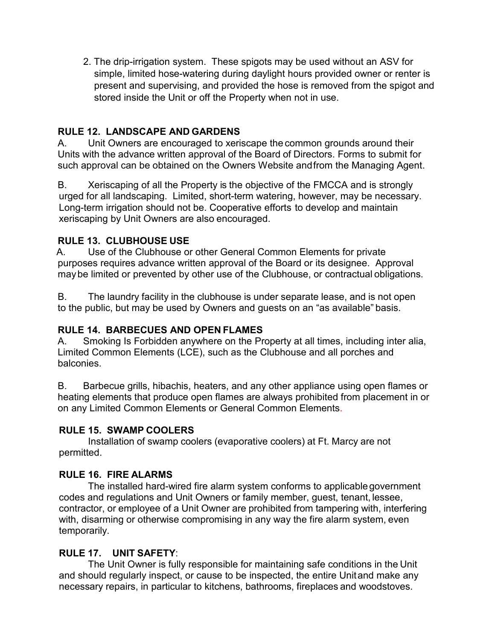2. The drip-irrigation system. These spigots may be used without an ASV for simple, limited hose-watering during daylight hours provided owner or renter is present and supervising, and provided the hose is removed from the spigot and stored inside the Unit or off the Property when not in use.

## **RULE 12. LANDSCAPE AND GARDENS**

A. Unit Owners are encouraged to xeriscape the common grounds around their Units with the advance written approval of the Board of Directors. Forms to submit for such approval can be obtained on the Owners Website andfrom the Managing Agent.

B. Xeriscaping of all the Property is the objective of the FMCCA and is strongly urged for all landscaping. Limited, short-term watering, however, may be necessary. Long-term irrigation should not be. Cooperative efforts to develop and maintain xeriscaping by Unit Owners are also encouraged.

## **RULE 13. CLUBHOUSE USE**

A. Use of the Clubhouse or other General Common Elements for private purposes requires advance written approval of the Board or its designee. Approval maybe limited or prevented by other use of the Clubhouse, or contractual obligations.

B. The laundry facility in the clubhouse is under separate lease, and is not open to the public, but may be used by Owners and guests on an "as available" basis.

# **RULE 14. BARBECUES AND OPEN FLAMES**

A. Smoking Is Forbidden anywhere on the Property at all times, including inter alia, Limited Common Elements (LCE), such as the Clubhouse and all porches and balconies.

B. Barbecue grills, hibachis, heaters, and any other appliance using open flames or heating elements that produce open flames are always prohibited from placement in or on any Limited Common Elements or General Common Elements.

## **RULE 15. SWAMP COOLERS**

Installation of swamp coolers (evaporative coolers) at Ft. Marcy are not permitted.

## **RULE 16. FIRE ALARMS**

The installed hard-wired fire alarm system conforms to applicable government codes and regulations and Unit Owners or family member, guest, tenant, lessee, contractor, or employee of a Unit Owner are prohibited from tampering with, interfering with, disarming or otherwise compromising in any way the fire alarm system, even temporarily.

## **RULE 17. UNIT SAFETY**:

The Unit Owner is fully responsible for maintaining safe conditions in the Unit and should regularly inspect, or cause to be inspected, the entire Unitand make any necessary repairs, in particular to kitchens, bathrooms, fireplaces and woodstoves.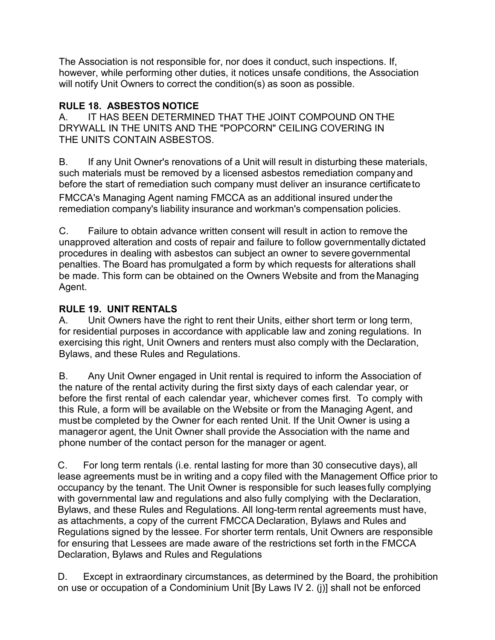The Association is not responsible for, nor does it conduct, such inspections. If, however, while performing other duties, it notices unsafe conditions, the Association will notify Unit Owners to correct the condition(s) as soon as possible.

## **RULE 18. ASBESTOS NOTICE**

A. IT HAS BEEN DETERMINED THAT THE JOINT COMPOUND ON THE DRYWALL IN THE UNITS AND THE "POPCORN" CEILING COVERING IN THE UNITS CONTAIN ASBESTOS.

B. If any Unit Owner's renovations of a Unit will result in disturbing these materials, such materials must be removed by a licensed asbestos remediation companyand before the start of remediation such company must deliver an insurance certificateto

FMCCA's Managing Agent naming FMCCA as an additional insured underthe remediation company's liability insurance and workman's compensation policies.

C. Failure to obtain advance written consent will result in action to remove the unapproved alteration and costs of repair and failure to follow governmentally dictated procedures in dealing with asbestos can subject an owner to severe governmental penalties. The Board has promulgated a form by which requests for alterations shall be made. This form can be obtained on the Owners Website and from the Managing Agent.

## **RULE 19. UNIT RENTALS**

A. Unit Owners have the right to rent their Units, either short term or long term, for residential purposes in accordance with applicable law and zoning regulations. In exercising this right, Unit Owners and renters must also comply with the Declaration, Bylaws, and these Rules and Regulations.

B. Any Unit Owner engaged in Unit rental is required to inform the Association of the nature of the rental activity during the first sixty days of each calendar year, or before the first rental of each calendar year, whichever comes first. To comply with this Rule, a form will be available on the Website or from the Managing Agent, and must be completed by the Owner for each rented Unit. If the Unit Owner is using a manageror agent, the Unit Owner shall provide the Association with the name and phone number of the contact person for the manager or agent.

C. For long term rentals (i.e. rental lasting for more than 30 consecutive days), all lease agreements must be in writing and a copy filed with the Management Office prior to occupancy by the tenant. The Unit Owner is responsible for such leases fully complying with governmental law and regulations and also fully complying with the Declaration, Bylaws, and these Rules and Regulations. All long-term rental agreements must have, as attachments, a copy of the current FMCCA Declaration, Bylaws and Rules and Regulations signed by the lessee. For shorter term rentals, Unit Owners are responsible for ensuring that Lessees are made aware of the restrictions set forth in the FMCCA Declaration, Bylaws and Rules and Regulations

D. Except in extraordinary circumstances, as determined by the Board, the prohibition on use or occupation of a Condominium Unit [By Laws IV 2. (j)] shall not be enforced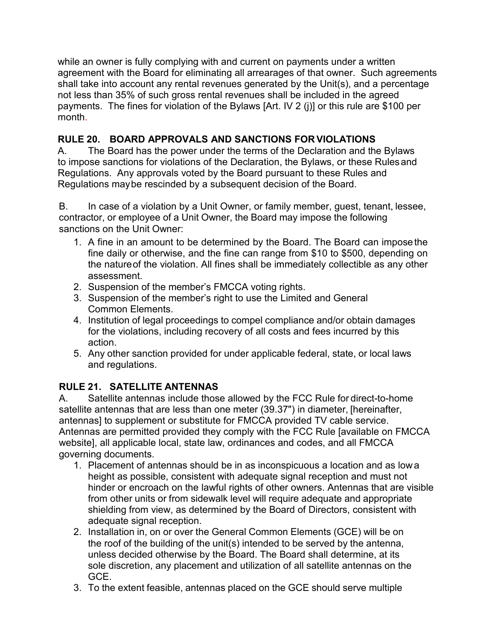while an owner is fully complying with and current on payments under a written agreement with the Board for eliminating all arrearages of that owner. Such agreements shall take into account any rental revenues generated by the Unit(s), and a percentage not less than 35% of such gross rental revenues shall be included in the agreed payments. The fines for violation of the Bylaws [Art. IV 2 (j)] or this rule are \$100 per month.

# **RULE 20. BOARD APPROVALS AND SANCTIONS FOR VIOLATIONS**

A. The Board has the power under the terms of the Declaration and the Bylaws to impose sanctions for violations of the Declaration, the Bylaws, or these Rulesand Regulations. Any approvals voted by the Board pursuant to these Rules and Regulations maybe rescinded by a subsequent decision of the Board.

B. In case of a violation by a Unit Owner, or family member, quest, tenant, lessee, contractor, or employee of a Unit Owner, the Board may impose the following sanctions on the Unit Owner:

- 1. A fine in an amount to be determined by the Board. The Board can imposethe fine daily or otherwise, and the fine can range from \$10 to \$500, depending on the natureof the violation. All fines shall be immediately collectible as any other assessment.
- 2. Suspension of the member's FMCCA voting rights.
- 3. Suspension of the member's right to use the Limited and General Common Elements.
- 4. Institution of legal proceedings to compel compliance and/or obtain damages for the violations, including recovery of all costs and fees incurred by this action.
- 5. Any other sanction provided for under applicable federal, state, or local laws and regulations.

# **RULE 21. SATELLITE ANTENNAS**

A. Satellite antennas include those allowed by the FCC Rule for direct-to-home satellite antennas that are less than one meter (39.37") in diameter, [hereinafter, antennas] to supplement or substitute for FMCCA provided TV cable service. Antennas are permitted provided they comply with the FCC Rule [available on FMCCA website], all applicable local, state law, ordinances and codes, and all FMCCA governing documents.

- 1. Placement of antennas should be in as inconspicuous a location and as lowa height as possible, consistent with adequate signal reception and must not hinder or encroach on the lawful rights of other owners. Antennas that are visible from other units or from sidewalk level will require adequate and appropriate shielding from view, as determined by the Board of Directors, consistent with adequate signal reception.
- 2. Installation in, on or over the General Common Elements (GCE) will be on the roof of the building of the unit(s) intended to be served by the antenna, unless decided otherwise by the Board. The Board shall determine, at its sole discretion, any placement and utilization of all satellite antennas on the GCE.
- 3. To the extent feasible, antennas placed on the GCE should serve multiple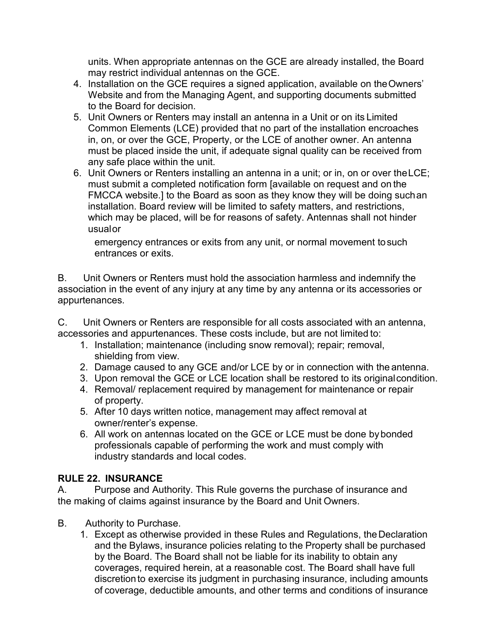units. When appropriate antennas on the GCE are already installed, the Board may restrict individual antennas on the GCE.

- 4. Installation on the GCE requires a signed application, available on theOwners' Website and from the Managing Agent, and supporting documents submitted to the Board for decision.
- 5. Unit Owners or Renters may install an antenna in a Unit or on its Limited Common Elements (LCE) provided that no part of the installation encroaches in, on, or over the GCE, Property, or the LCE of another owner. An antenna must be placed inside the unit, if adequate signal quality can be received from any safe place within the unit.
- 6. Unit Owners or Renters installing an antenna in a unit; or in, on or over theLCE; must submit a completed notification form [available on request and on the FMCCA website.] to the Board as soon as they know they will be doing suchan installation. Board review will be limited to safety matters, and restrictions, which may be placed, will be for reasons of safety. Antennas shall not hinder usualor

emergency entrances or exits from any unit, or normal movement tosuch entrances or exits.

B. Unit Owners or Renters must hold the association harmless and indemnify the association in the event of any injury at any time by any antenna or its accessories or appurtenances.

C. Unit Owners or Renters are responsible for all costs associated with an antenna, accessories and appurtenances. These costs include, but are not limited to:

- 1. Installation; maintenance (including snow removal); repair; removal, shielding from view.
- 2. Damage caused to any GCE and/or LCE by or in connection with the antenna.
- 3. Upon removal the GCE or LCE location shall be restored to its originalcondition.
- 4. Removal/ replacement required by management for maintenance or repair of property.
- 5. After 10 days written notice, management may affect removal at owner/renter's expense.
- 6. All work on antennas located on the GCE or LCE must be done bybonded professionals capable of performing the work and must comply with industry standards and local codes.

## **RULE 22. INSURANCE**

A. Purpose and Authority. This Rule governs the purchase of insurance and the making of claims against insurance by the Board and Unit Owners.

- B. Authority to Purchase.
	- 1. Except as otherwise provided in these Rules and Regulations, theDeclaration and the Bylaws, insurance policies relating to the Property shall be purchased by the Board. The Board shall not be liable for its inability to obtain any coverages, required herein, at a reasonable cost. The Board shall have full discretionto exercise its judgment in purchasing insurance, including amounts of coverage, deductible amounts, and other terms and conditions of insurance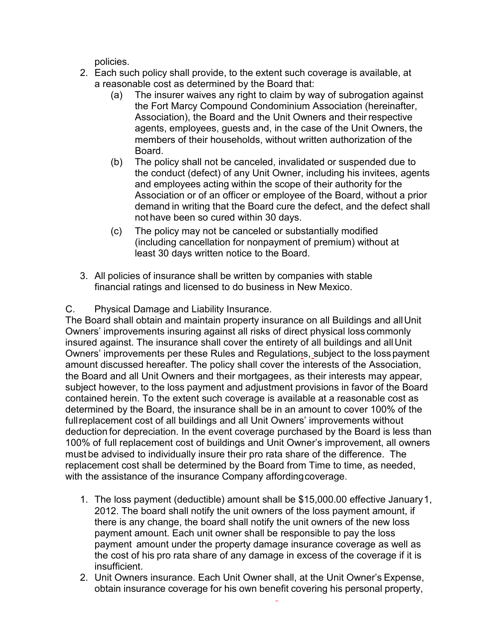policies.

- 2. Each such policy shall provide, to the extent such coverage is available, at a reasonable cost as determined by the Board that:
	- (a) The insurer waives any right to claim by way of subrogation against the Fort Marcy Compound Condominium Association (hereinafter, Association), the Board and the Unit Owners and their respective agents, employees, guests and, in the case of the Unit Owners, the members of their households, without written authorization of the Board.
	- (b) The policy shall not be canceled, invalidated or suspended due to the conduct (defect) of any Unit Owner, including his invitees, agents and employees acting within the scope of their authority for the Association or of an officer or employee of the Board, without a prior demand in writing that the Board cure the defect, and the defect shall not have been so cured within 30 days.
	- (c) The policy may not be canceled or substantially modified (including cancellation for nonpayment of premium) without at least 30 days written notice to the Board.
- 3. All policies of insurance shall be written by companies with stable financial ratings and licensed to do business in New Mexico.
- C. Physical Damage and Liability Insurance.

The Board shall obtain and maintain property insurance on all Buildings and allUnit Owners' improvements insuring against all risks of direct physical loss commonly insured against. The insurance shall cover the entirety of all buildings and allUnit Owners' improvements per these Rules and Regulations, subject to the losspayment amount discussed hereafter. The policy shall cover the interests of the Association, the Board and all Unit Owners and their mortgagees, as their interests may appear, subject however, to the loss payment and adjustment provisions in favor of the Board contained herein. To the extent such coverage is available at a reasonable cost as determined by the Board, the insurance shall be in an amount to cover 100% of the fullreplacement cost of all buildings and all Unit Owners' improvements without deduction for depreciation. In the event coverage purchased by the Board is less than 100% of full replacement cost of buildings and Unit Owner's improvement, all owners must be advised to individually insure their pro rata share of the difference. The replacement cost shall be determined by the Board from Time to time, as needed, with the assistance of the insurance Company affording coverage.

- 1. The loss payment (deductible) amount shall be \$15,000.00 effective January1, 2012. The board shall notify the unit owners of the loss payment amount, if there is any change, the board shall notify the unit owners of the new loss payment amount. Each unit owner shall be responsible to pay the loss payment amount under the property damage insurance coverage as well as the cost of his pro rata share of any damage in excess of the coverage if it is insufficient.
- 2. Unit Owners insurance. Each Unit Owner shall, at the Unit Owner's Expense, obtain insurance coverage for his own benefit covering his personal property,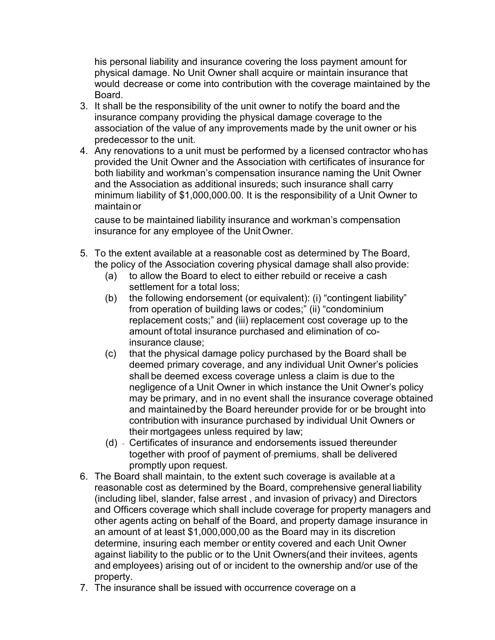his personal liability and insurance covering the loss payment amount for physical damage. No Unit Owner shall acquire or maintain insurance that would decrease or come into contribution with the coverage maintained by the Board.

- 3. It shall be the responsibility of the unit owner to notify the board and the insurance company providing the physical damage coverage to the association of the value of any improvements made by the unit owner or his predecessor to the unit.
- 4. Any renovations to a unit must be performed by a licensed contractor whohas provided the Unit Owner and the Association with certificates of insurance for both liability and workman's compensation insurance naming the Unit Owner and the Association as additional insureds; such insurance shall carry minimum liability of \$1,000,000.00. It is the responsibility of a Unit Owner to maintain or

cause to be maintained liability insurance and workman's compensation insurance for any employee of the UnitOwner.

- 5. To the extent available at a reasonable cost as determined by The Board, the policy of the Association covering physical damage shall also provide:
	- (a) to allow the Board to elect to either rebuild or receive a cash settlement for a total loss;
	- (b) the following endorsement (or equivalent): (i) "contingent liability" from operation of building laws or codes;" (ii) "condominium replacement costs;" and (iii) replacement cost coverage up to the amount oftotal insurance purchased and elimination of coinsurance clause;
	- (c) that the physical damage policy purchased by the Board shall be deemed primary coverage, and any individual Unit Owner's policies shall be deemed excess coverage unless a claim is due to the negligence of a Unit Owner in which instance the Unit Owner's policy may be primary, and in no event shall the insurance coverage obtained and maintainedby the Board hereunder provide for or be brought into contribution with insurance purchased by individual Unit Owners or their mortgagees unless required by law;
	- (d) Certificates of insurance and endorsements issued thereunder together with proof of payment of-premiums, shall be delivered promptly upon request.
- 6. The Board shall maintain, to the extent such coverage is available at a reasonable cost as determined by the Board, comprehensive general liability (including libel, slander, false arrest , and invasion of privacy) and Directors and Officers coverage which shall include coverage for property managers and other agents acting on behalf of the Board, and property damage insurance in an amount of at least \$1,000,000,00 as the Board may in its discretion determine, insuring each member or entity covered and each Unit Owner against liability to the public or to the Unit Owners(and their invitees, agents and employees) arising out of or incident to the ownership and/or use of the property.
- 7. The insurance shall be issued with occurrence coverage on a